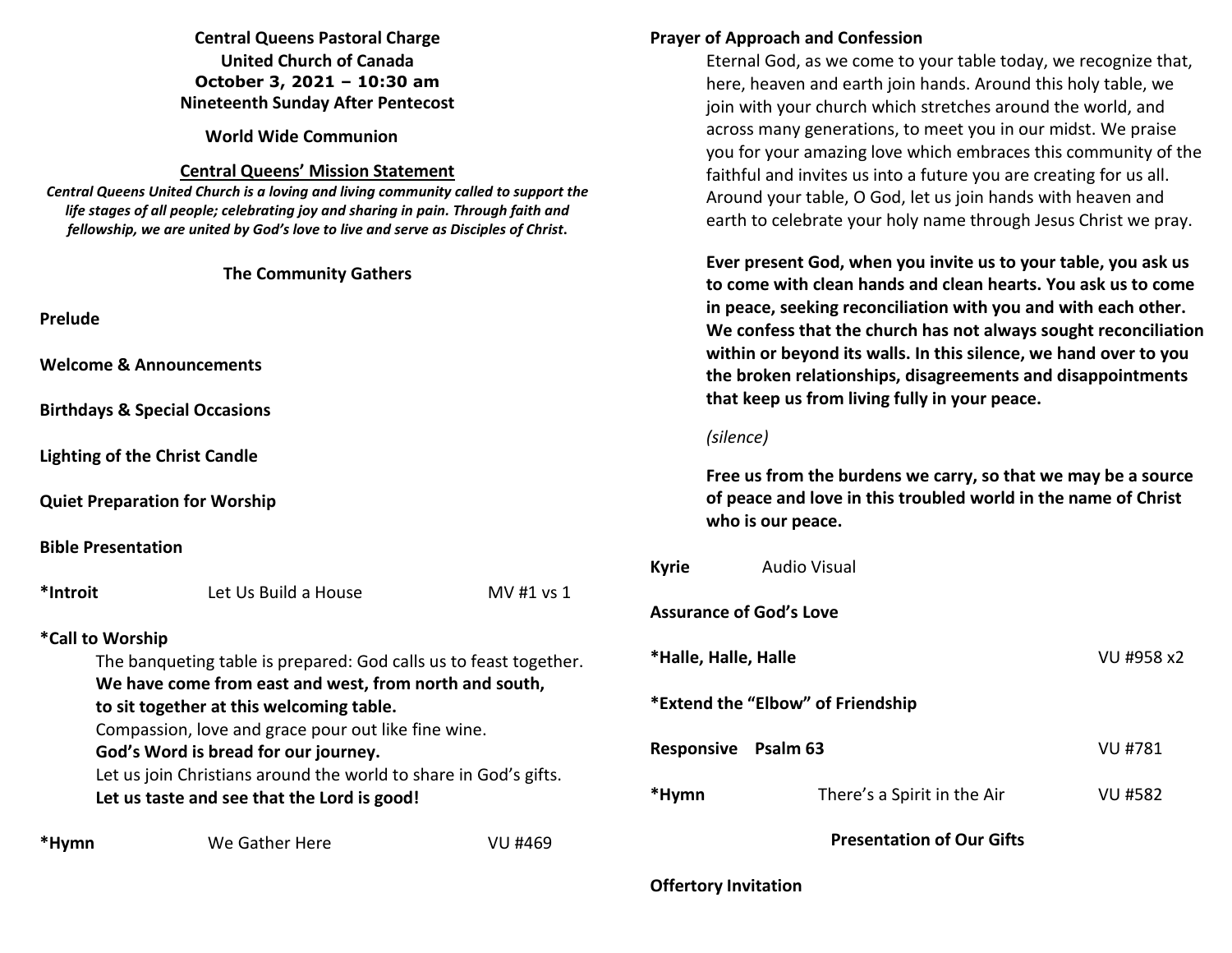## **Central Queens Pastoral Charge United Church of Canada October 3, 2021 – 10:30 am Nineteenth Sunday After Pentecost**

**World Wide Communion** 

#### **Central Queens' Mission Statement**

*Central Queens United Church is a loving and living community called to support the life stages of all people; celebrating joy and sharing in pain. Through faith and fellowship, we are united by God's love to live and serve as Disciples of Christ***.** 

#### **The Community Gathers**

**Prelude** 

**Welcome & Announcements** 

**Birthdays & Special Occasions** 

**Lighting of the Christ Candle** 

**Quiet Preparation for Worship**

#### **Bible Presentation**

**\*Introit** Let Us Build a House MV #1 vs 1 **\*Call to Worship** The banqueting table is prepared: God calls us to feast together. **We have come from east and west, from north and south, to sit together at this welcoming table.**  Compassion, love and grace pour out like fine wine.  **God's Word is bread for our journey.**  Let us join Christians around the world to share in God's gifts.  **Let us taste and see that the Lord is good!** 

\*Hymn **We Gather Here VU #469** 

# **Prayer of Approach and Confession**

Eternal God, as we come to your table today, we recognize that, here, heaven and earth join hands. Around this holy table, we join with your church which stretches around the world, and across many generations, to meet you in our midst. We praise you for your amazing love which embraces this community of the faithful and invites us into a future you are creating for us all. Around your table, O God, let us join hands with heaven and earth to celebrate your holy name through Jesus Christ we pray.

**Ever present God, when you invite us to your table, you ask us to come with clean hands and clean hearts. You ask us to come in peace, seeking reconciliation with you and with each other. We confess that the church has not always sought reconciliation within or beyond its walls. In this silence, we hand over to you the broken relationships, disagreements and disappointments that keep us from living fully in your peace.** 

#### *(silence)*

**Free us from the burdens we carry, so that we may be a source of peace and love in this troubled world in the name of Christ who is our peace.** 

| <b>Kyrie</b>                      | <b>Audio Visual</b>         |            |  |  |
|-----------------------------------|-----------------------------|------------|--|--|
| <b>Assurance of God's Love</b>    |                             |            |  |  |
| *Halle, Halle, Halle              |                             | VU #958 x2 |  |  |
| *Extend the "Elbow" of Friendship |                             |            |  |  |
| Responsive<br>Psalm 63            |                             | VU #781    |  |  |
| *Hymn                             | There's a Spirit in the Air | VU #582    |  |  |
| <b>Presentation of Our Gifts</b>  |                             |            |  |  |

**Offertory Invitation**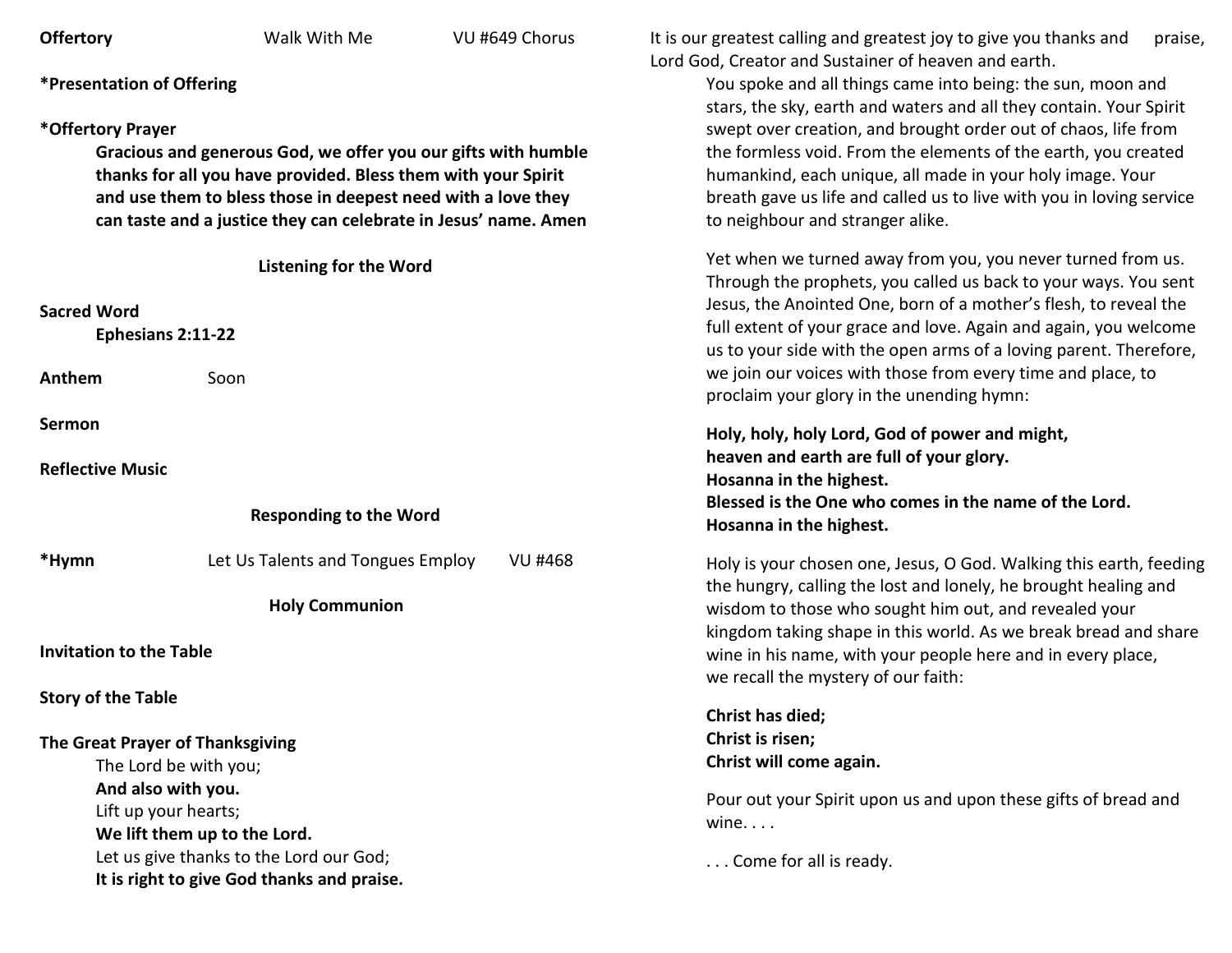| <b>Offertory</b>                                              | Walk With Me                                                    | VU #649 Chorus | It is our greatest calling and greatest joy to give you thanks and<br>praise,<br>Lord God, Creator and Sustainer of heaven and earth.                                                                     |  |  |
|---------------------------------------------------------------|-----------------------------------------------------------------|----------------|-----------------------------------------------------------------------------------------------------------------------------------------------------------------------------------------------------------|--|--|
| <b>*Presentation of Offering</b>                              |                                                                 |                | You spoke and all things came into being: the sun, moon and<br>stars, the sky, earth and waters and all they contain. Your Spirit                                                                         |  |  |
| *Offertory Prayer                                             |                                                                 |                | swept over creation, and brought order out of chaos, life from                                                                                                                                            |  |  |
| Gracious and generous God, we offer you our gifts with humble |                                                                 |                | the formless void. From the elements of the earth, you created                                                                                                                                            |  |  |
| thanks for all you have provided. Bless them with your Spirit |                                                                 |                | humankind, each unique, all made in your holy image. Your                                                                                                                                                 |  |  |
|                                                               | and use them to bless those in deepest need with a love they    |                | breath gave us life and called us to live with you in loving service                                                                                                                                      |  |  |
|                                                               | can taste and a justice they can celebrate in Jesus' name. Amen |                | to neighbour and stranger alike.                                                                                                                                                                          |  |  |
|                                                               | <b>Listening for the Word</b>                                   |                | Yet when we turned away from you, you never turned from us.<br>Through the prophets, you called us back to your ways. You sent                                                                            |  |  |
| <b>Sacred Word</b><br>Ephesians 2:11-22                       |                                                                 |                | Jesus, the Anointed One, born of a mother's flesh, to reveal the<br>full extent of your grace and love. Again and again, you welcome<br>us to your side with the open arms of a loving parent. Therefore, |  |  |
| Anthem                                                        | Soon                                                            |                | we join our voices with those from every time and place, to<br>proclaim your glory in the unending hymn:                                                                                                  |  |  |
| Sermon                                                        |                                                                 |                | Holy, holy, holy Lord, God of power and might,                                                                                                                                                            |  |  |
| <b>Reflective Music</b>                                       |                                                                 |                | heaven and earth are full of your glory.                                                                                                                                                                  |  |  |
|                                                               |                                                                 |                | Hosanna in the highest.                                                                                                                                                                                   |  |  |
|                                                               | <b>Responding to the Word</b>                                   |                | Blessed is the One who comes in the name of the Lord.<br>Hosanna in the highest.                                                                                                                          |  |  |
| *Hymn                                                         | Let Us Talents and Tongues Employ                               | <b>VU #468</b> | Holy is your chosen one, Jesus, O God. Walking this earth, feeding<br>the hungry, calling the lost and lonely, he brought healing and                                                                     |  |  |
| <b>Holy Communion</b>                                         |                                                                 |                | wisdom to those who sought him out, and revealed your<br>kingdom taking shape in this world. As we break bread and share                                                                                  |  |  |
| <b>Invitation to the Table</b>                                |                                                                 |                | wine in his name, with your people here and in every place,<br>we recall the mystery of our faith:                                                                                                        |  |  |
| <b>Story of the Table</b>                                     |                                                                 |                |                                                                                                                                                                                                           |  |  |
|                                                               |                                                                 |                | Christ has died;                                                                                                                                                                                          |  |  |
| The Great Prayer of Thanksgiving                              |                                                                 |                | Christ is risen;<br>Christ will come again.                                                                                                                                                               |  |  |
|                                                               | The Lord be with you;                                           |                |                                                                                                                                                                                                           |  |  |
| And also with you.                                            |                                                                 |                | Pour out your Spirit upon us and upon these gifts of bread and                                                                                                                                            |  |  |
|                                                               | Lift up your hearts;                                            |                | wine. $\ldots$                                                                                                                                                                                            |  |  |
|                                                               | We lift them up to the Lord.                                    |                |                                                                                                                                                                                                           |  |  |
| Let us give thanks to the Lord our God;                       |                                                                 |                | Come for all is ready.                                                                                                                                                                                    |  |  |
|                                                               | It is right to give God thanks and praise.                      |                |                                                                                                                                                                                                           |  |  |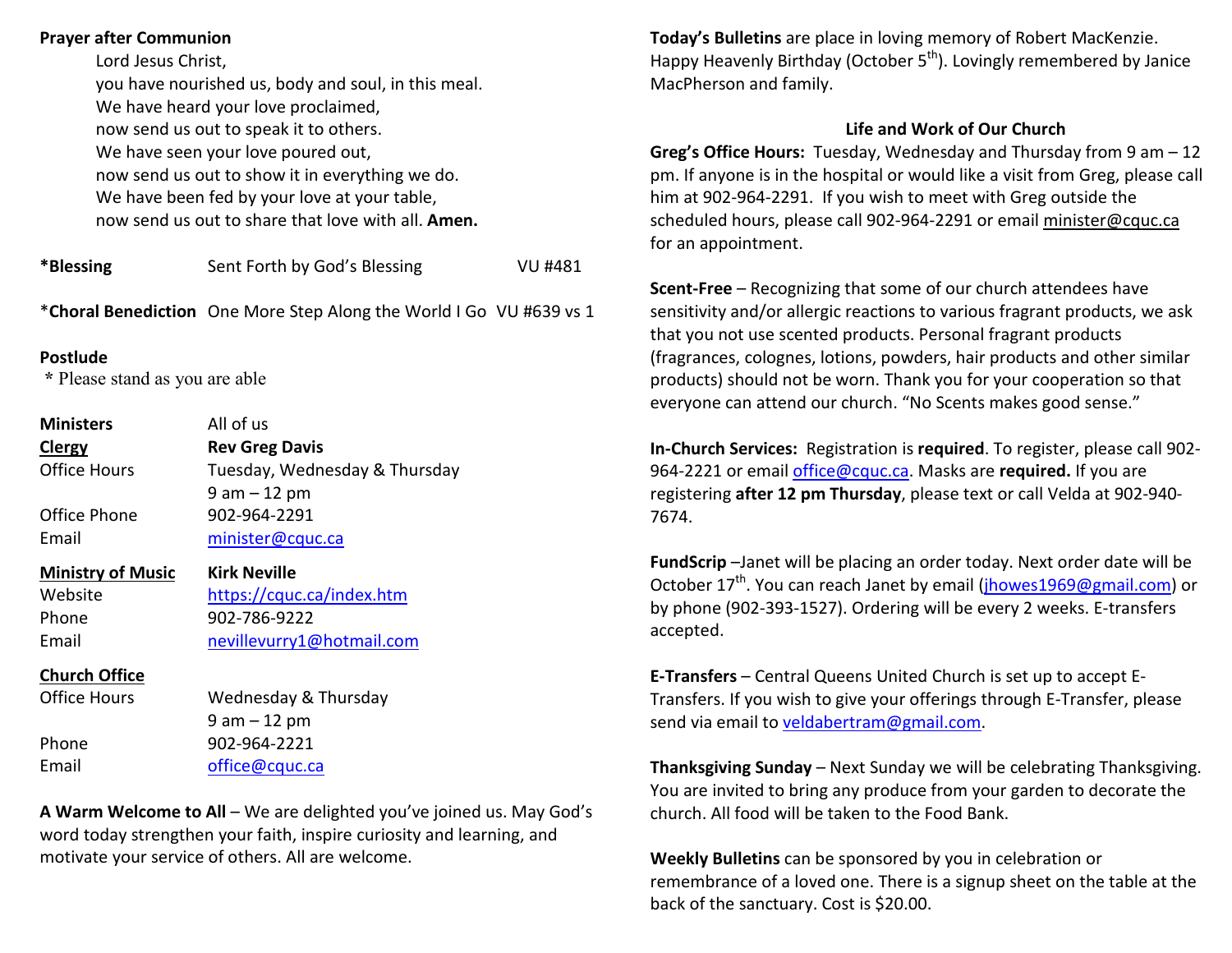### **Prayer after Communion**

 Lord Jesus Christ, you have nourished us, body and soul, in this meal. We have heard your love proclaimed, now send us out to speak it to others. We have seen your love poured out, now send us out to show it in everything we do. We have been fed by your love at your table, now send us out to share that love with all. **Amen.**

| *Blessing | Sent Forth by God's Blessing | VU #481 |
|-----------|------------------------------|---------|
|           |                              |         |

\***Choral Benediction** One More Step Along the World I Go VU #639 vs 1

#### **Postlude**

 **\*** Please stand as you are able

| <b>Ministers</b>         | All of us                     |
|--------------------------|-------------------------------|
| <b>Clergy</b>            | <b>Rev Greg Davis</b>         |
| Office Hours             | Tuesday, Wednesday & Thursday |
|                          | $9$ am $-12$ pm               |
| Office Phone             | 902-964-2291                  |
| Email                    | minister@cquc.ca              |
| <b>Ministry of Music</b> | Kirk Neville                  |
| Website                  | https://cquc.ca/index.htm     |
| Phone                    | 902-786-9222                  |
| Email                    | nevillevurry1@hotmail.com     |
| <b>Church Office</b>     |                               |
| <b>Office Hours</b>      | Wednesday & Thursday          |
|                          | $9$ am $-12$ pm               |

Phone 902-964-2221 Email office@cquc.ca

**A Warm Welcome to All** – We are delighted you've joined us. May God's word today strengthen your faith, inspire curiosity and learning, and motivate your service of others. All are welcome.

**Today's Bulletins** are place in loving memory of Robert MacKenzie. Happy Heavenly Birthday (October 5<sup>th</sup>). Lovingly remembered by Janice MacPherson and family.

## **Life and Work of Our Church**

**Greg's Office Hours:** Tuesday, Wednesday and Thursday from 9 am – 12 pm. If anyone is in the hospital or would like a visit from Greg, please call him at 902-964-2291. If you wish to meet with Greg outside the scheduled hours, please call 902-964-2291 or email minister@cquc.ca for an appointment.

**Scent-Free** – Recognizing that some of our church attendees have sensitivity and/or allergic reactions to various fragrant products, we ask that you not use scented products. Personal fragrant products (fragrances, colognes, lotions, powders, hair products and other similar products) should not be worn. Thank you for your cooperation so that everyone can attend our church. "No Scents makes good sense."

**In-Church Services:** Registration is **required**. To register, please call 902-964-2221 or email office@cquc.ca. Masks are **required.** If you are registering **after 12 pm Thursday**, please text or call Velda at 902-940- 7674.

**FundScrip** –Janet will be placing an order today. Next order date will be October 17<sup>th</sup>. You can reach Janet by email (**jhowes1969@gmail.com**) or by phone (902-393-1527). Ordering will be every 2 weeks. E-transfers accepted.

**E-Transfers** – Central Queens United Church is set up to accept E-Transfers. If you wish to give your offerings through E-Transfer, please send via email to veldabertram@gmail.com.

**Thanksgiving Sunday** – Next Sunday we will be celebrating Thanksgiving.You are invited to bring any produce from your garden to decorate the church. All food will be taken to the Food Bank.

**Weekly Bulletins** can be sponsored by you in celebration or remembrance of a loved one. There is a signup sheet on the table at the back of the sanctuary. Cost is \$20.00.